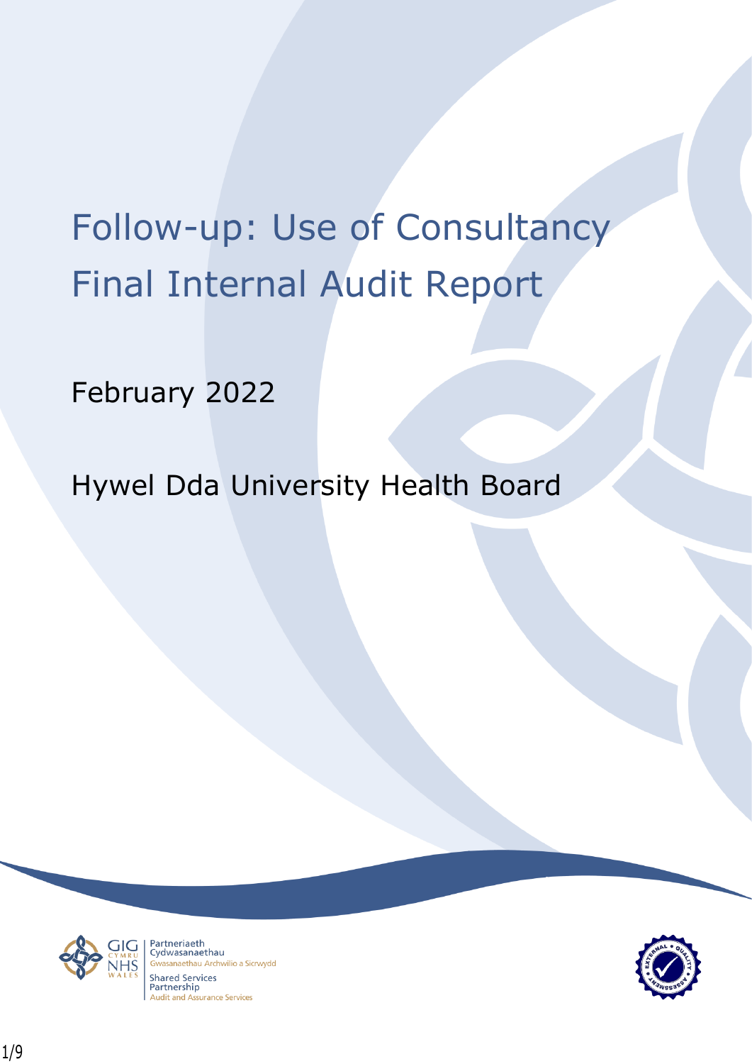# Follow-up: Use of Consultancy Final Internal Audit Report

February 2022

Hywel Dda University Health Board



Partneriaeth Cydwasanaethau anaethau Archwilio a Sicrwydd Shared Services Partnership **Audit and Assurance Services** 

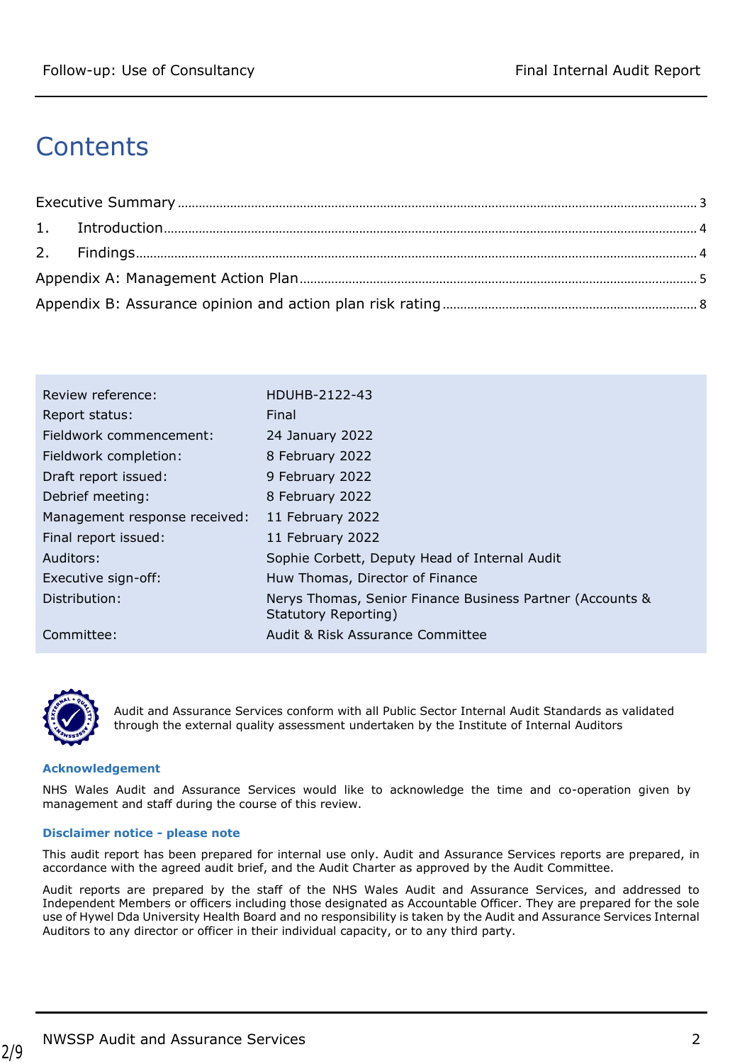# **Contents**

| Review reference:             | HDUHB-2122-43                                                                     |
|-------------------------------|-----------------------------------------------------------------------------------|
| Report status:                | Final                                                                             |
| Fieldwork commencement:       | 24 January 2022                                                                   |
| Fieldwork completion:         | 8 February 2022                                                                   |
| Draft report issued:          | 9 February 2022                                                                   |
| Debrief meeting:              | 8 February 2022                                                                   |
| Management response received: | 11 February 2022                                                                  |
| Final report issued:          | 11 February 2022                                                                  |
| Auditors:                     | Sophie Corbett, Deputy Head of Internal Audit                                     |
| Executive sign-off:           | Huw Thomas, Director of Finance                                                   |
| Distribution:                 | Nerys Thomas, Senior Finance Business Partner (Accounts &<br>Statutory Reporting) |
| Committee:                    | Audit & Risk Assurance Committee                                                  |



Audit and Assurance Services conform with all Public Sector Internal Audit Standards as validated through the external quality assessment undertaken by the Institute of Internal Auditors

#### **Acknowledgement**

NHS Wales Audit and Assurance Services would like to acknowledge the time and co-operation given by management and staff during the course of this review.

#### **Disclaimer notice - please note**

This audit report has been prepared for internal use only. Audit and Assurance Services reports are prepared, in accordance with the agreed audit brief, and the Audit Charter as approved by the Audit Committee.

Audit reports are prepared by the staff of the NHS Wales Audit and Assurance Services, and addressed to Independent Members or officers including those designated as Accountable Officer. They are prepared for the sole use of Hywel Dda University Health Board and no responsibility is taken by the Audit and Assurance Services Internal Auditors to any director or officer in their individual capacity, or to any third party.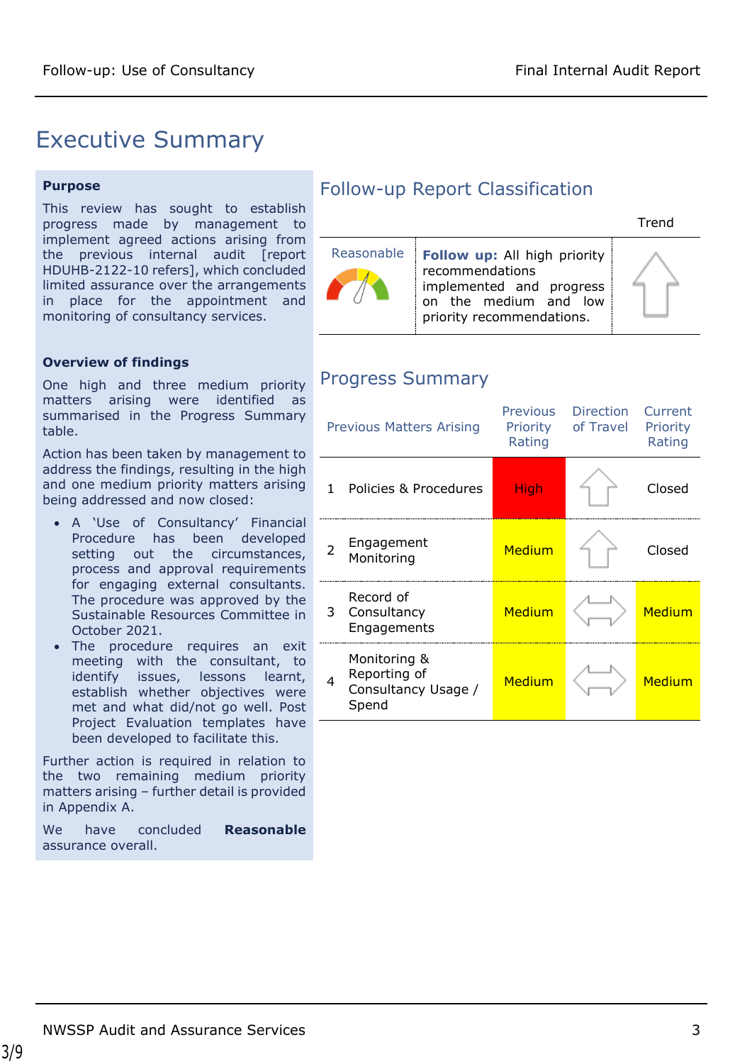## <span id="page-2-0"></span>Executive Summary

#### **Purpose**

This review has sought to establish progress made by management to implement agreed actions arising from the previous internal audit [report HDUHB-2122-10 refers], which concluded limited assurance over the arrangements in place for the appointment and monitoring of consultancy services.

#### **Overview of findings**

One high and three medium priority matters arising were identified as summarised in the Progress Summary table.

Action has been taken by management to address the findings, resulting in the high and one medium priority matters arising being addressed and now closed:

- A 'Use of Consultancy' Financial Procedure has been developed setting out the circumstances, process and approval requirements for engaging external consultants. The procedure was approved by the Sustainable Resources Committee in October 2021.
- The procedure requires an exit meeting with the consultant, to identify issues, lessons learnt, establish whether objectives were met and what did/not go well. Post Project Evaluation templates have been developed to facilitate this.

Further action is required in relation to the two remaining medium priority matters arising – further detail is provided in Appendix A.

We have concluded **Reasonable** assurance overall.

## Follow-up Report Classification

|            |                                                                                                                                          | Trond |
|------------|------------------------------------------------------------------------------------------------------------------------------------------|-------|
| Reasonable | <b>Follow up:</b> All high priority<br>recommendations<br>implemented and progress<br>on the medium and low<br>priority recommendations. |       |

## Progress Summary

|   | <b>Previous Matters Arising</b>                              | <b>Previous</b><br><b>Priority</b><br>Rating | <b>Direction</b><br>of Travel | Current<br>Priority<br>Rating |
|---|--------------------------------------------------------------|----------------------------------------------|-------------------------------|-------------------------------|
| 1 | Policies & Procedures                                        | High                                         |                               | Closed                        |
|   | Engagement<br>Monitoring                                     | Medium                                       |                               | Closed                        |
| 3 | Record of<br>Consultancy<br>Engagements                      | Medium                                       |                               | Medium                        |
| 4 | Monitoring &<br>Reporting of<br>Consultancy Usage /<br>Spend | Medium                                       |                               | Medium                        |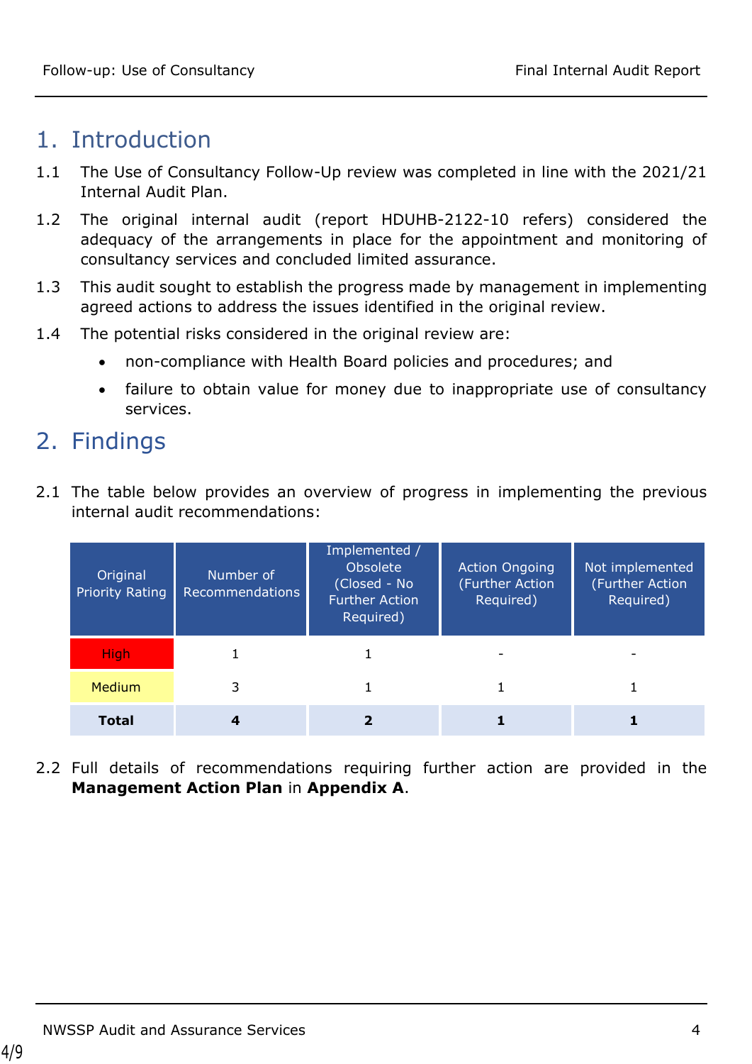## <span id="page-3-0"></span>1. Introduction

- 1.1 The Use of Consultancy Follow-Up review was completed in line with the 2021/21 Internal Audit Plan.
- 1.2 The original internal audit (report HDUHB-2122-10 refers) considered the adequacy of the arrangements in place for the appointment and monitoring of consultancy services and concluded limited assurance.
- 1.3 This audit sought to establish the progress made by management in implementing agreed actions to address the issues identified in the original review.
- 1.4 The potential risks considered in the original review are:
	- non-compliance with Health Board policies and procedures; and
	- failure to obtain value for money due to inappropriate use of consultancy services.

# <span id="page-3-1"></span>2. Findings

2.1 The table below provides an overview of progress in implementing the previous internal audit recommendations:

| Original<br><b>Priority Rating</b> | Number of<br>Recommendations | Implemented /<br>Obsolete<br>(Closed - No<br><b>Further Action</b><br>Required) | <b>Action Ongoing</b><br>(Further Action<br>Required) | Not implemented<br>(Further Action<br>Required) |
|------------------------------------|------------------------------|---------------------------------------------------------------------------------|-------------------------------------------------------|-------------------------------------------------|
| <b>High</b>                        |                              |                                                                                 |                                                       |                                                 |
| <b>Medium</b>                      | 3                            |                                                                                 |                                                       |                                                 |
| Total                              |                              |                                                                                 |                                                       |                                                 |

2.2 Full details of recommendations requiring further action are provided in the **Management Action Plan** in **Appendix A**.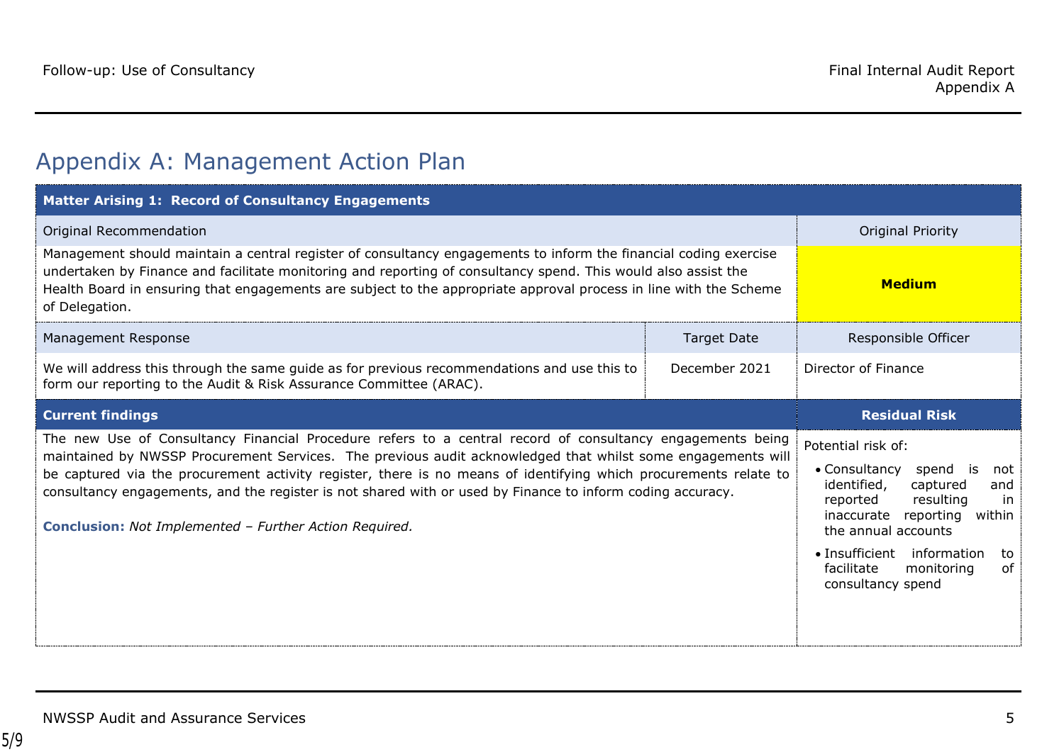# Appendix A: Management Action Plan

<span id="page-4-0"></span>

| <b>Matter Arising 1: Record of Consultancy Engagements</b>                                                                                                                                                                                                                                                                                                                                                                                                                                                                   |                          |                                                                                                                                                                                                                                                                                |  |
|------------------------------------------------------------------------------------------------------------------------------------------------------------------------------------------------------------------------------------------------------------------------------------------------------------------------------------------------------------------------------------------------------------------------------------------------------------------------------------------------------------------------------|--------------------------|--------------------------------------------------------------------------------------------------------------------------------------------------------------------------------------------------------------------------------------------------------------------------------|--|
| Original Recommendation                                                                                                                                                                                                                                                                                                                                                                                                                                                                                                      | <b>Original Priority</b> |                                                                                                                                                                                                                                                                                |  |
| Management should maintain a central register of consultancy engagements to inform the financial coding exercise<br>undertaken by Finance and facilitate monitoring and reporting of consultancy spend. This would also assist the<br>Health Board in ensuring that engagements are subject to the appropriate approval process in line with the Scheme<br>of Delegation.                                                                                                                                                    | <b>Medium</b>            |                                                                                                                                                                                                                                                                                |  |
| Management Response                                                                                                                                                                                                                                                                                                                                                                                                                                                                                                          | <b>Target Date</b>       | Responsible Officer                                                                                                                                                                                                                                                            |  |
| We will address this through the same guide as for previous recommendations and use this to<br>form our reporting to the Audit & Risk Assurance Committee (ARAC).                                                                                                                                                                                                                                                                                                                                                            | Director of Finance      |                                                                                                                                                                                                                                                                                |  |
| <b>Current findings</b>                                                                                                                                                                                                                                                                                                                                                                                                                                                                                                      | <b>Residual Risk</b>     |                                                                                                                                                                                                                                                                                |  |
| The new Use of Consultancy Financial Procedure refers to a central record of consultancy engagements being<br>maintained by NWSSP Procurement Services. The previous audit acknowledged that whilst some engagements will<br>be captured via the procurement activity register, there is no means of identifying which procurements relate to<br>consultancy engagements, and the register is not shared with or used by Finance to inform coding accuracy.<br><b>Conclusion:</b> Not Implemented - Further Action Required. |                          | Potential risk of:<br>• Consultancy<br>spend is<br>not<br>identified,<br>captured<br>and<br>resulting<br>reported<br>in<br>reporting<br>inaccurate<br>within<br>the annual accounts<br>• Insufficient information<br>to<br>facilitate<br>0f<br>monitoring<br>consultancy spend |  |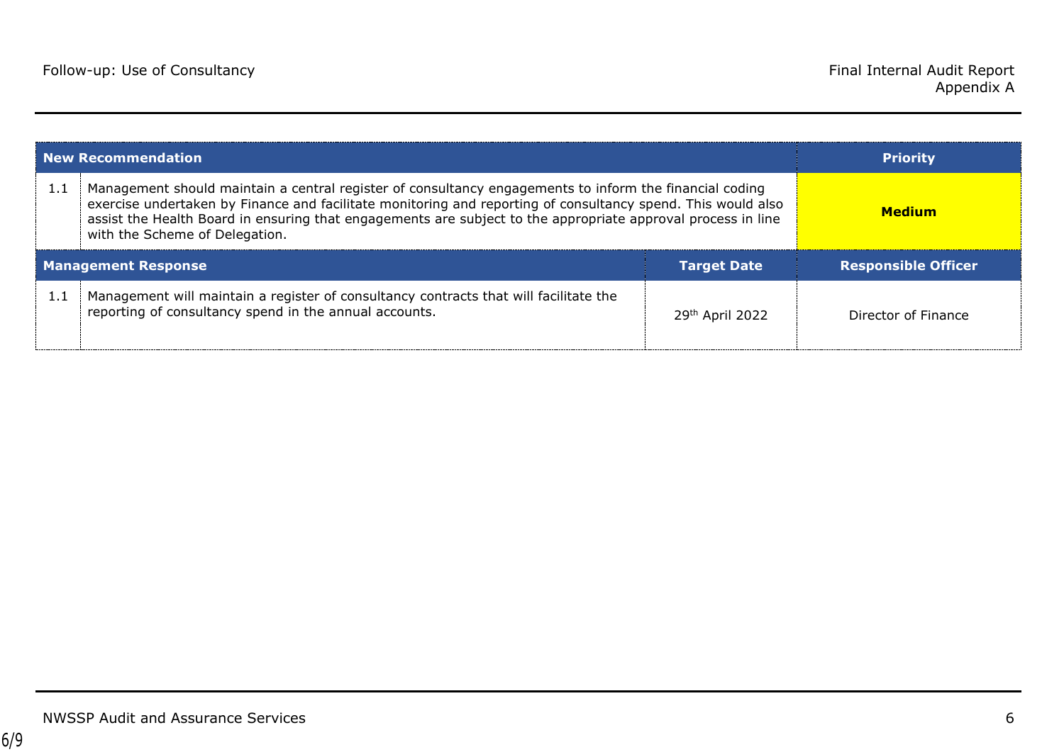| New Recommendation                               |                                                                                                                                                                                                                                                                                                                                                                           |                 | <b>Priority</b>            |
|--------------------------------------------------|---------------------------------------------------------------------------------------------------------------------------------------------------------------------------------------------------------------------------------------------------------------------------------------------------------------------------------------------------------------------------|-----------------|----------------------------|
| 1.1                                              | Management should maintain a central register of consultancy engagements to inform the financial coding<br>exercise undertaken by Finance and facilitate monitoring and reporting of consultancy spend. This would also<br>assist the Health Board in ensuring that engagements are subject to the appropriate approval process in line<br>with the Scheme of Delegation. |                 | <b>Medium</b>              |
| <b>Management Response</b><br><b>Target Date</b> |                                                                                                                                                                                                                                                                                                                                                                           |                 | <b>Responsible Officer</b> |
| 1.1                                              | Management will maintain a register of consultancy contracts that will facilitate the<br>reporting of consultancy spend in the annual accounts.                                                                                                                                                                                                                           | 29th April 2022 | Director of Finance        |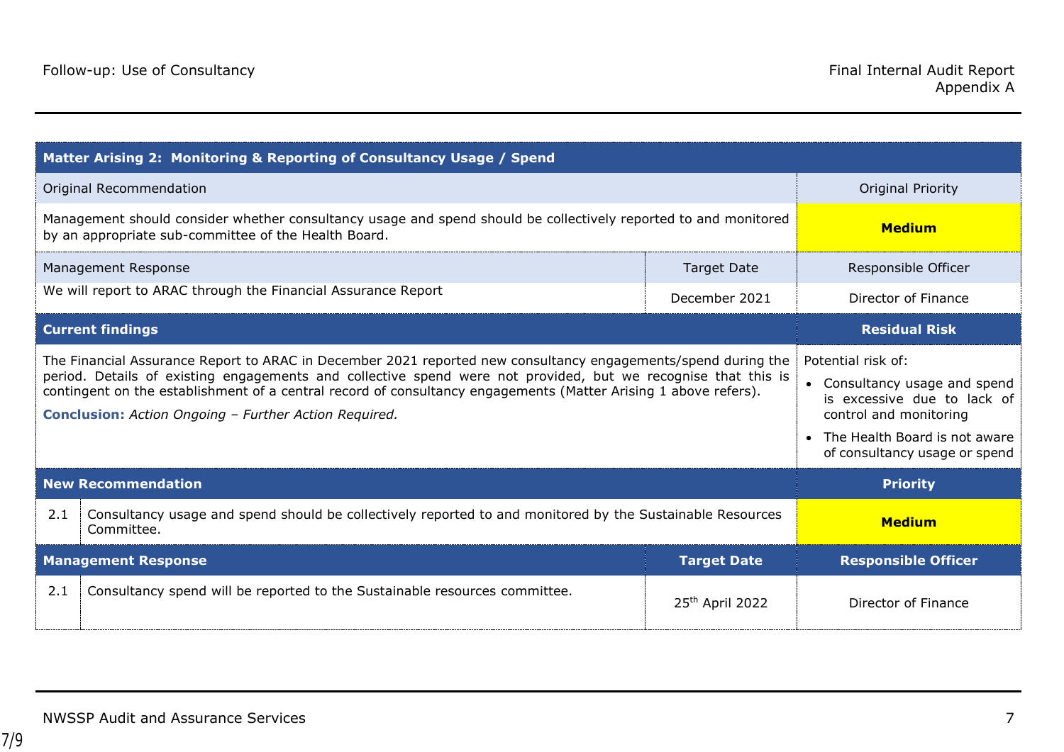| Matter Arising 2: Monitoring & Reporting of Consultancy Usage / Spend                                                                                                                                                                                                                                                                                                                                             |                                                                                                                                                                                |                     |  |
|-------------------------------------------------------------------------------------------------------------------------------------------------------------------------------------------------------------------------------------------------------------------------------------------------------------------------------------------------------------------------------------------------------------------|--------------------------------------------------------------------------------------------------------------------------------------------------------------------------------|---------------------|--|
| Original Recommendation                                                                                                                                                                                                                                                                                                                                                                                           | <b>Original Priority</b>                                                                                                                                                       |                     |  |
| Management should consider whether consultancy usage and spend should be collectively reported to and monitored<br>by an appropriate sub-committee of the Health Board.                                                                                                                                                                                                                                           | <b>Medium</b>                                                                                                                                                                  |                     |  |
| Management Response                                                                                                                                                                                                                                                                                                                                                                                               | <b>Target Date</b>                                                                                                                                                             | Responsible Officer |  |
| We will report to ARAC through the Financial Assurance Report                                                                                                                                                                                                                                                                                                                                                     | December 2021                                                                                                                                                                  | Director of Finance |  |
| <b>Current findings</b>                                                                                                                                                                                                                                                                                                                                                                                           | <b>Residual Risk</b>                                                                                                                                                           |                     |  |
| The Financial Assurance Report to ARAC in December 2021 reported new consultancy engagements/spend during the<br>period. Details of existing engagements and collective spend were not provided, but we recognise that this is<br>contingent on the establishment of a central record of consultancy engagements (Matter Arising 1 above refers).<br><b>Conclusion:</b> Action Ongoing - Further Action Required. | Potential risk of:<br>• Consultancy usage and spend<br>is excessive due to lack of<br>control and monitoring<br>The Health Board is not aware<br>of consultancy usage or spend |                     |  |
| <b>New Recommendation</b>                                                                                                                                                                                                                                                                                                                                                                                         | <b>Priority</b>                                                                                                                                                                |                     |  |
| 2.1<br>Consultancy usage and spend should be collectively reported to and monitored by the Sustainable Resources<br>Committee.                                                                                                                                                                                                                                                                                    | <b>Medium</b>                                                                                                                                                                  |                     |  |
| <b>Management Response</b>                                                                                                                                                                                                                                                                                                                                                                                        | <b>Target Date</b>                                                                                                                                                             |                     |  |
| 2.1<br>Consultancy spend will be reported to the Sustainable resources committee.                                                                                                                                                                                                                                                                                                                                 | 25th April 2022                                                                                                                                                                | Director of Finance |  |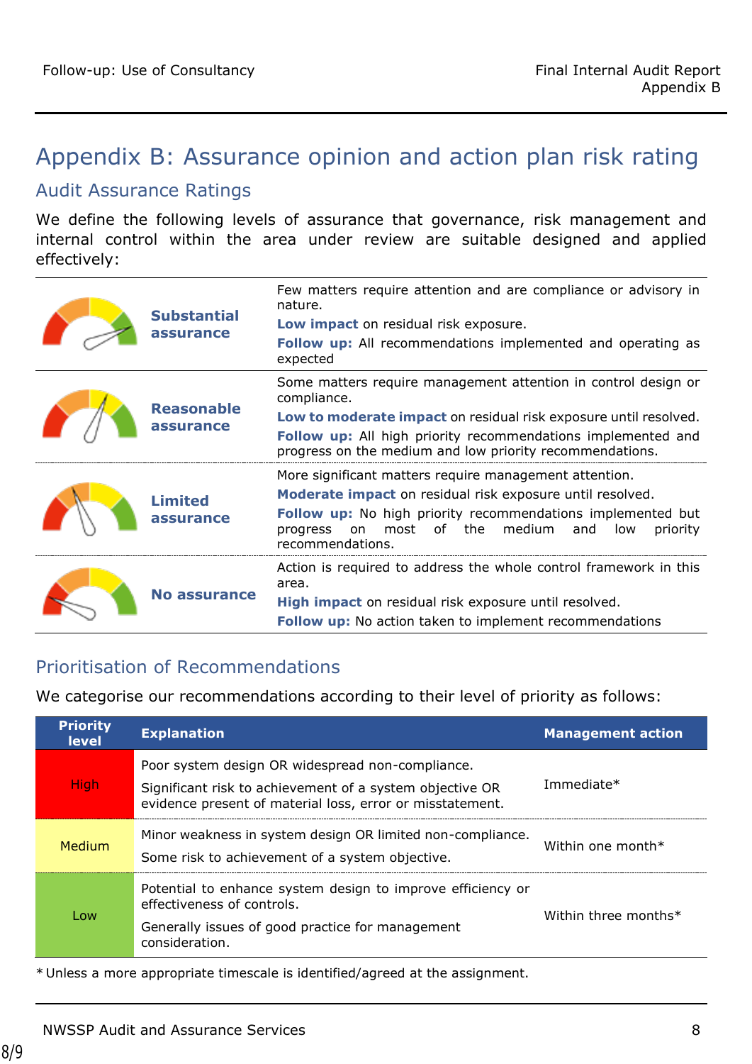# <span id="page-7-0"></span>Appendix B: Assurance opinion and action plan risk rating

### Audit Assurance Ratings

We define the following levels of assurance that governance, risk management and internal control within the area under review are suitable designed and applied effectively:

|  | <b>Substantial</b><br>assurance | Few matters require attention and are compliance or advisory in<br>nature.<br>Low impact on residual risk exposure.                                                                                                                                                            |
|--|---------------------------------|--------------------------------------------------------------------------------------------------------------------------------------------------------------------------------------------------------------------------------------------------------------------------------|
|  |                                 | <b>Follow up:</b> All recommendations implemented and operating as<br>expected                                                                                                                                                                                                 |
|  | <b>Reasonable</b><br>assurance  | Some matters require management attention in control design or<br>compliance.<br>Low to moderate impact on residual risk exposure until resolved.<br>Follow up: All high priority recommendations implemented and<br>progress on the medium and low priority recommendations.  |
|  | <b>Limited</b><br>assurance     | More significant matters require management attention.<br>Moderate impact on residual risk exposure until resolved.<br>Follow up: No high priority recommendations implemented but<br>of the<br>medium<br>most<br>and<br>progress<br>on<br>low<br>priority<br>recommendations. |
|  | <b>No assurance</b>             | Action is required to address the whole control framework in this<br>area.<br>High impact on residual risk exposure until resolved.<br><b>Follow up:</b> No action taken to implement recommendations                                                                          |

## Prioritisation of Recommendations

We categorise our recommendations according to their level of priority as follows:

| <b>Priority</b><br><b>level</b> | <b>Explanation</b>                                                                                                                                                        | <b>Management action</b> |
|---------------------------------|---------------------------------------------------------------------------------------------------------------------------------------------------------------------------|--------------------------|
| High                            | Poor system design OR widespread non-compliance.<br>Significant risk to achievement of a system objective OR<br>evidence present of material loss, error or misstatement. | Immediate*               |
| Medium                          | Minor weakness in system design OR limited non-compliance.<br>Some risk to achievement of a system objective.                                                             | Within one month $*$     |
| Low                             | Potential to enhance system design to improve efficiency or<br>effectiveness of controls.<br>Generally issues of good practice for management<br>consideration.           | Within three months*     |

\* Unless a more appropriate timescale is identified/agreed at the assignment.